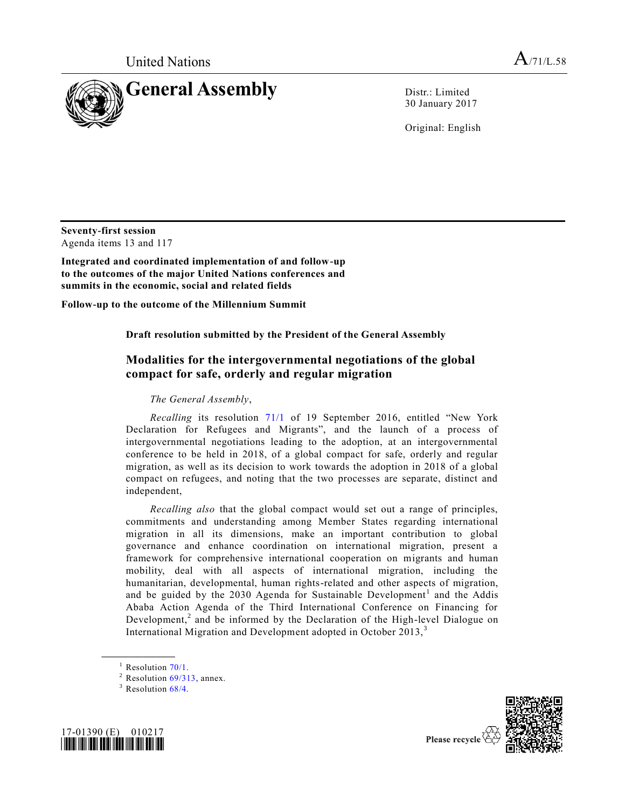

30 January 2017

Original: English

**Seventy-first session**  Agenda items 13 and 117

**Integrated and coordinated implementation of and follow-up to the outcomes of the major United Nations conferences and summits in the economic, social and related fields**

**Follow-up to the outcome of the Millennium Summit**

**Draft resolution submitted by the President of the General Assembly** 

# **Modalities for the intergovernmental negotiations of the global compact for safe, orderly and regular migration**

# *The General Assembly*,

*Recalling* its resolution [71/1](http://undocs.org/A/RES/71/1) of 19 September 2016, entitled "New York Declaration for Refugees and Migrants", and the launch of a process of intergovernmental negotiations leading to the adoption, at an intergovernmental conference to be held in 2018, of a global compact for safe, orderly and regular migration, as well as its decision to work towards the adoption in 2018 of a global compact on refugees, and noting that the two processes are separate, distinct and independent,

*Recalling also* that the global compact would set out a range of principles, commitments and understanding among Member States regarding international migration in all its dimensions, make an important contribution to global governance and enhance coordination on international migration, present a framework for comprehensive international cooperation on migrants and human mobility, deal with all aspects of international migration, including the humanitarian, developmental, human rights-related and other aspects of migration, and be guided by the 2030 Agenda for Sustainable Development<sup>1</sup> and the Addis Ababa Action Agenda of the Third International Conference on Financing for Development,<sup>2</sup> and be informed by the Declaration of the High-level Dialogue on International Migration and Development adopted in October 2013,<sup>3</sup>

**\_\_\_\_\_\_\_\_\_\_\_\_\_\_\_\_\_\_**

 $3$  Resolution  $68/4$ .





 $1$  Resolution [70/1.](http://undocs.org/A/RES/70/1)

 $2$  Resolution [69/313,](http://undocs.org/A/RES/69/313) annex.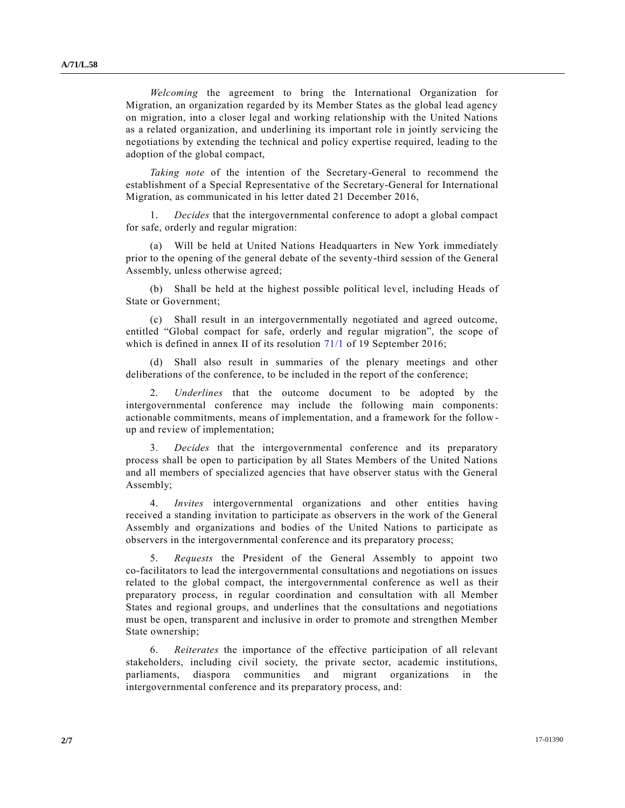*Welcoming* the agreement to bring the International Organization for Migration, an organization regarded by its Member States as the global lead agency on migration, into a closer legal and working relationship with the United Nations as a related organization, and underlining its important role in jointly servicing the negotiations by extending the technical and policy expertise required, leading to the adoption of the global compact,

*Taking note* of the intention of the Secretary-General to recommend the establishment of a Special Representative of the Secretary-General for International Migration, as communicated in his letter dated 21 December 2016,

1. *Decides* that the intergovernmental conference to adopt a global compact for safe, orderly and regular migration:

(a) Will be held at United Nations Headquarters in New York immediately prior to the opening of the general debate of the seventy-third session of the General Assembly, unless otherwise agreed;

(b) Shall be held at the highest possible political level, including Heads of State or Government;

(c) Shall result in an intergovernmentally negotiated and agreed outcome, entitled "Global compact for safe, orderly and regular migration", the scope of which is defined in annex II of its resolution [71/1](http://undocs.org/A/RES/71/1) of 19 September 2016;

Shall also result in summaries of the plenary meetings and other deliberations of the conference, to be included in the report of the conference;

2. *Underlines* that the outcome document to be adopted by the intergovernmental conference may include the following main components: actionable commitments, means of implementation, and a framework for the followup and review of implementation;

3. *Decides* that the intergovernmental conference and its preparatory process shall be open to participation by all States Members of the United Nations and all members of specialized agencies that have observer status with the General Assembly;

4. *Invites* intergovernmental organizations and other entities having received a standing invitation to participate as observers in the work of the General Assembly and organizations and bodies of the United Nations to participate as observers in the intergovernmental conference and its preparatory process;

5. *Requests* the President of the General Assembly to appoint two co-facilitators to lead the intergovernmental consultations and negotiations on issues related to the global compact, the intergovernmental conference as well as their preparatory process, in regular coordination and consultation with all Member States and regional groups, and underlines that the consultations and negotiations must be open, transparent and inclusive in order to promote and strengthen Member State ownership;

6. *Reiterates* the importance of the effective participation of all relevant stakeholders, including civil society, the private sector, academic institutions, parliaments, diaspora communities and migrant organizations in the intergovernmental conference and its preparatory process, and: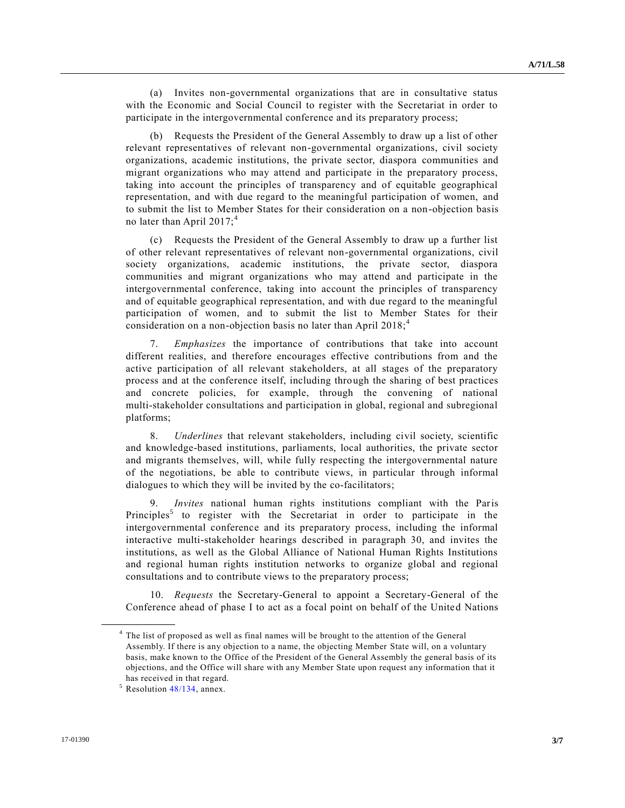(a) Invites non-governmental organizations that are in consultative status with the Economic and Social Council to register with the Secretariat in order to participate in the intergovernmental conference and its preparatory process;

(b) Requests the President of the General Assembly to draw up a list of other relevant representatives of relevant non-governmental organizations, civil society organizations, academic institutions, the private sector, diaspora communities and migrant organizations who may attend and participate in the preparatory process, taking into account the principles of transparency and of equitable geographical representation, and with due regard to the meaningful participation of women, and to submit the list to Member States for their consideration on a non-objection basis no later than April  $2017$ ;<sup>4</sup>

(c) Requests the President of the General Assembly to draw up a further list of other relevant representatives of relevant non-governmental organizations, civil society organizations, academic institutions, the private sector, diaspora communities and migrant organizations who may attend and participate in the intergovernmental conference, taking into account the principles of transparency and of equitable geographical representation, and with due regard to the meaningful participation of women, and to submit the list to Member States for their consideration on a non-objection basis no later than April  $2018$ ;<sup>4</sup>

7. *Emphasizes* the importance of contributions that take into account different realities, and therefore encourages effective contributions from and the active participation of all relevant stakeholders, at all stages of the preparatory process and at the conference itself, including through the sharing of best practices and concrete policies, for example, through the convening of national multi-stakeholder consultations and participation in global, regional and subregional platforms;

8. *Underlines* that relevant stakeholders, including civil society, scientific and knowledge-based institutions, parliaments, local authorities, the private sector and migrants themselves, will, while fully respecting the intergovernmental nature of the negotiations, be able to contribute views, in particular through informal dialogues to which they will be invited by the co-facilitators;

9. *Invites* national human rights institutions compliant with the Paris Principles<sup>5</sup> to register with the Secretariat in order to participate in the intergovernmental conference and its preparatory process, including the informal interactive multi-stakeholder hearings described in paragraph 30, and invites the institutions, as well as the Global Alliance of National Human Rights Institutions and regional human rights institution networks to organize global and regional consultations and to contribute views to the preparatory process;

10. *Requests* the Secretary-General to appoint a Secretary-General of the Conference ahead of phase I to act as a focal point on behalf of the United Nations

**\_\_\_\_\_\_\_\_\_\_\_\_\_\_\_\_\_\_**

<sup>&</sup>lt;sup>4</sup> The list of proposed as well as final names will be brought to the attention of the General Assembly. If there is any objection to a name, the objecting Member State will, on a voluntary basis, make known to the Office of the President of the General Assembly the general basis of its objections, and the Office will share with any Member State upon request any information that it has received in that regard.

<sup>5</sup> Resolution [48/134,](http://undocs.org/A/RES/48/134) annex.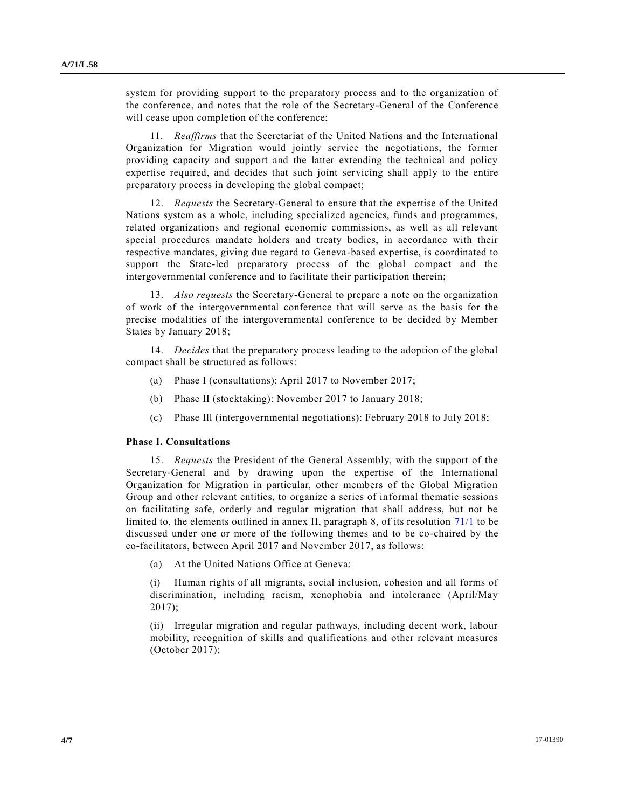system for providing support to the preparatory process and to the organization of the conference, and notes that the role of the Secretary-General of the Conference will cease upon completion of the conference;

11. *Reaffirms* that the Secretariat of the United Nations and the International Organization for Migration would jointly service the negotiations, the former providing capacity and support and the latter extending the technical and policy expertise required, and decides that such joint servicing shall apply to the entire preparatory process in developing the global compact;

12. *Requests* the Secretary-General to ensure that the expertise of the United Nations system as a whole, including specialized agencies, funds and programmes, related organizations and regional economic commissions, as well as all relevant special procedures mandate holders and treaty bodies, in accordance with their respective mandates, giving due regard to Geneva-based expertise, is coordinated to support the State-led preparatory process of the global compact and the intergovernmental conference and to facilitate their participation therein;

13. *Also requests* the Secretary-General to prepare a note on the organization of work of the intergovernmental conference that will serve as the basis for the precise modalities of the intergovernmental conference to be decided by Member States by January 2018;

14. *Decides* that the preparatory process leading to the adoption of the global compact shall be structured as follows:

- (a) Phase I (consultations): April 2017 to November 2017;
- (b) Phase II (stocktaking): November 2017 to January 2018;
- (c) Phase Ill (intergovernmental negotiations): February 2018 to July 2018;

#### **Phase I. Consultations**

15. *Requests* the President of the General Assembly, with the support of the Secretary-General and by drawing upon the expertise of the International Organization for Migration in particular, other members of the Global Migration Group and other relevant entities, to organize a series of informal thematic sessions on facilitating safe, orderly and regular migration that shall address, but not be limited to, the elements outlined in annex II, paragraph 8, of its resolution [71/1](http://undocs.org/A/RES/71/1) to be discussed under one or more of the following themes and to be co-chaired by the co-facilitators, between April 2017 and November 2017, as follows:

(a) At the United Nations Office at Geneva:

(i) Human rights of all migrants, social inclusion, cohesion and all forms of discrimination, including racism, xenophobia and intolerance (April/May  $2017$ ;

(ii) Irregular migration and regular pathways, including decent work, labour mobility, recognition of skills and qualifications and other relevant measures (October 2017);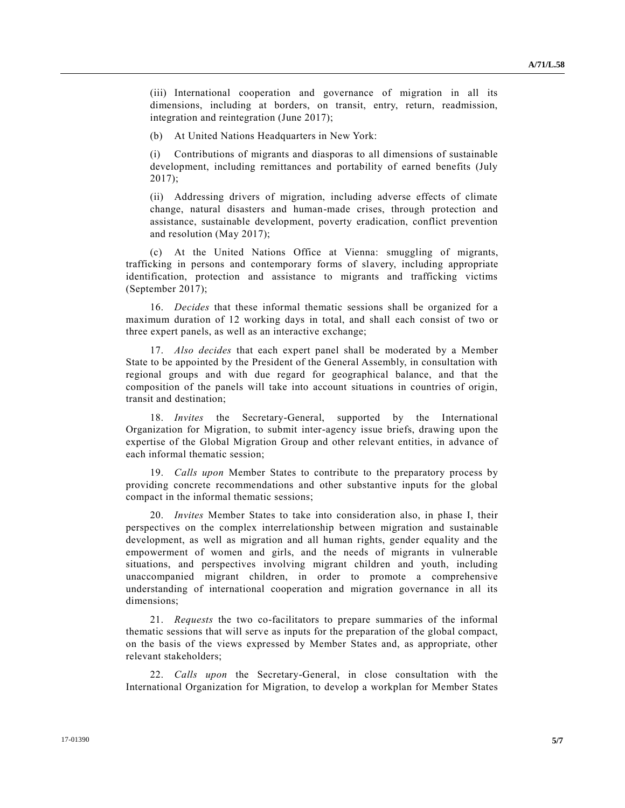(iii) International cooperation and governance of migration in all its dimensions, including at borders, on transit, entry, return, readmission, integration and reintegration (June 2017);

(b) At United Nations Headquarters in New York:

(i) Contributions of migrants and diasporas to all dimensions of sustainable development, including remittances and portability of earned benefits (July  $2017$ ;

(ii) Addressing drivers of migration, including adverse effects of climate change, natural disasters and human-made crises, through protection and assistance, sustainable development, poverty eradication, conflict prevention and resolution (May 2017);

(c) At the United Nations Office at Vienna: smuggling of migrants, trafficking in persons and contemporary forms of slavery, including appropriate identification, protection and assistance to migrants and trafficking victims (September 2017);

16. *Decides* that these informal thematic sessions shall be organized for a maximum duration of 12 working days in total, and shall each consist of two or three expert panels, as well as an interactive exchange;

17. *Also decides* that each expert panel shall be moderated by a Member State to be appointed by the President of the General Assembly, in consultation with regional groups and with due regard for geographical balance, and that the composition of the panels will take into account situations in countries of origin, transit and destination;

18. *Invites* the Secretary-General, supported by the International Organization for Migration, to submit inter-agency issue briefs, drawing upon the expertise of the Global Migration Group and other relevant entities, in advance of each informal thematic session;

19. *Calls upon* Member States to contribute to the preparatory process by providing concrete recommendations and other substantive inputs for the global compact in the informal thematic sessions;

20. *Invites* Member States to take into consideration also, in phase I, their perspectives on the complex interrelationship between migration and sustainable development, as well as migration and all human rights, gender equality and the empowerment of women and girls, and the needs of migrants in vulnerable situations, and perspectives involving migrant children and youth, including unaccompanied migrant children, in order to promote a comprehensive understanding of international cooperation and migration governance in all its dimensions;

21. *Requests* the two co-facilitators to prepare summaries of the informal thematic sessions that will serve as inputs for the preparation of the global compact, on the basis of the views expressed by Member States and, as appropriate, other relevant stakeholders;

22. *Calls upon* the Secretary-General, in close consultation with the International Organization for Migration, to develop a workplan for Member States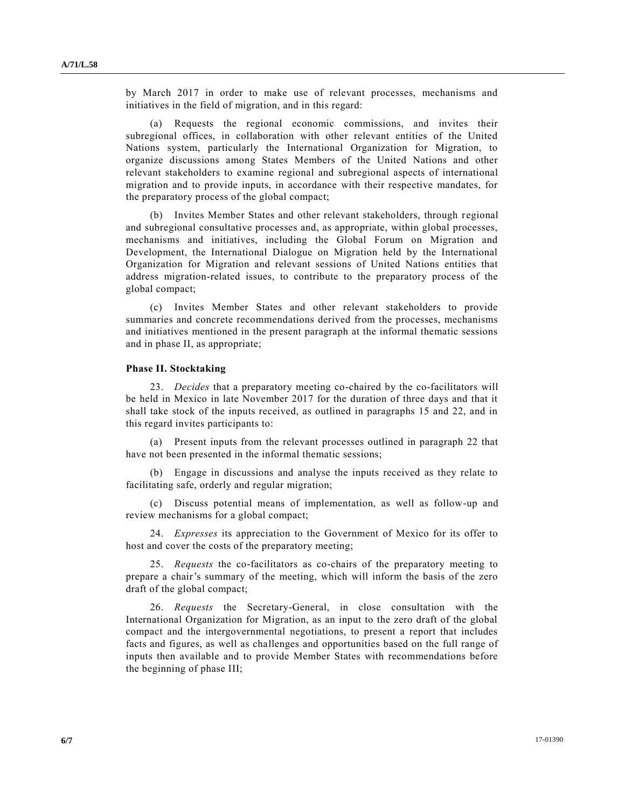by March 2017 in order to make use of relevant processes, mechanisms and initiatives in the field of migration, and in this regard:

(a) Requests the regional economic commissions, and invites their subregional offices, in collaboration with other relevant entities of the United Nations system, particularly the International Organization for Migration, to organize discussions among States Members of the United Nations and other relevant stakeholders to examine regional and subregional aspects of international migration and to provide inputs, in accordance with their respective mandates, for the preparatory process of the global compact;

(b) Invites Member States and other relevant stakeholders, through regional and subregional consultative processes and, as appropriate, within global processes, mechanisms and initiatives, including the Global Forum on Migration and Development, the International Dialogue on Migration held by the International Organization for Migration and relevant sessions of United Nations entities that address migration-related issues, to contribute to the preparatory process of the global compact;

(c) Invites Member States and other relevant stakeholders to provide summaries and concrete recommendations derived from the processes, mechanisms and initiatives mentioned in the present paragraph at the informal thematic sessions and in phase II, as appropriate;

## **Phase II. Stocktaking**

23. *Decides* that a preparatory meeting co-chaired by the co-facilitators will be held in Mexico in late November 2017 for the duration of three days and that it shall take stock of the inputs received, as outlined in paragraphs 15 and 22, and in this regard invites participants to:

(a) Present inputs from the relevant processes outlined in paragraph 22 that have not been presented in the informal thematic sessions;

(b) Engage in discussions and analyse the inputs received as they relate to facilitating safe, orderly and regular migration;

(c) Discuss potential means of implementation, as well as follow-up and review mechanisms for a global compact;

24. *Expresses* its appreciation to the Government of Mexico for its offer to host and cover the costs of the preparatory meeting;

25. *Requests* the co-facilitators as co-chairs of the preparatory meeting to prepare a chair's summary of the meeting, which will inform the basis of the zero draft of the global compact;

26. *Requests* the Secretary-General, in close consultation with the International Organization for Migration, as an input to the zero draft of the global compact and the intergovernmental negotiations, to present a report that includes facts and figures, as well as challenges and opportunities based on the full range of inputs then available and to provide Member States with recommendations before the beginning of phase III;